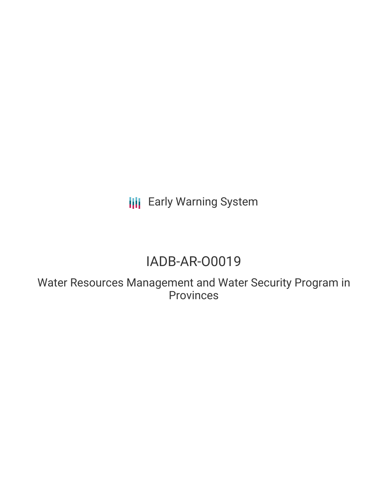**III** Early Warning System

# IADB-AR-O0019

Water Resources Management and Water Security Program in Provinces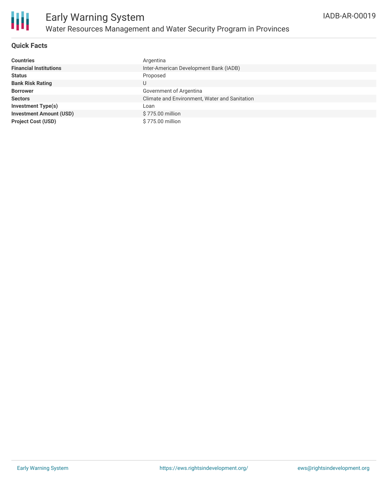

# **Quick Facts**

| <b>Countries</b>               | Argentina                                     |
|--------------------------------|-----------------------------------------------|
| <b>Financial Institutions</b>  | Inter-American Development Bank (IADB)        |
| <b>Status</b>                  | Proposed                                      |
| <b>Bank Risk Rating</b>        | U                                             |
| <b>Borrower</b>                | Government of Argentina                       |
| <b>Sectors</b>                 | Climate and Environment, Water and Sanitation |
| <b>Investment Type(s)</b>      | Loan                                          |
| <b>Investment Amount (USD)</b> | \$775.00 million                              |
| <b>Project Cost (USD)</b>      | \$775.00 million                              |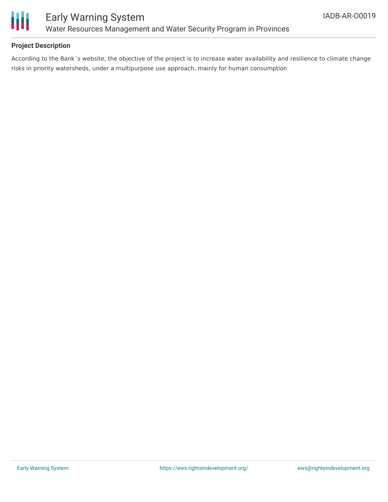

# **Project Description**

According to the Bank´s website, the objective of the project is to increase water availability and resilience to climate change risks in priority watersheds, under a multipurpose use approach, mainly for human consumption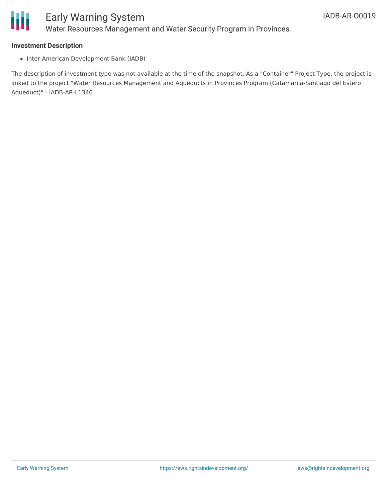

#### **Investment Description**

• Inter-American Development Bank (IADB)

The description of investment type was not available at the time of the snapshot. As a "Container" Project Type, the project is linked to the project "Water Resources Management and Aqueducts in Provinces Program (Catamarca-Santiago del Estero Aqueduct)" - IADB-AR-L1346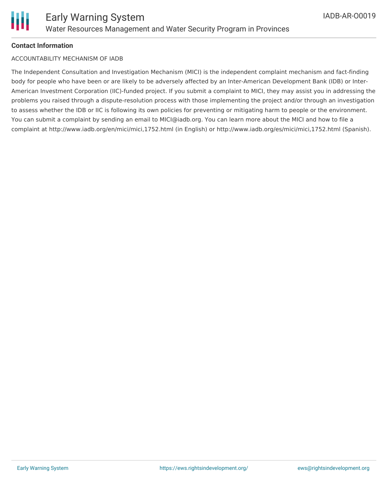

#### **Contact Information**

#### ACCOUNTABILITY MECHANISM OF IADB

The Independent Consultation and Investigation Mechanism (MICI) is the independent complaint mechanism and fact-finding body for people who have been or are likely to be adversely affected by an Inter-American Development Bank (IDB) or Inter-American Investment Corporation (IIC)-funded project. If you submit a complaint to MICI, they may assist you in addressing the problems you raised through a dispute-resolution process with those implementing the project and/or through an investigation to assess whether the IDB or IIC is following its own policies for preventing or mitigating harm to people or the environment. You can submit a complaint by sending an email to MICI@iadb.org. You can learn more about the MICI and how to file a complaint at http://www.iadb.org/en/mici/mici,1752.html (in English) or http://www.iadb.org/es/mici/mici,1752.html (Spanish).